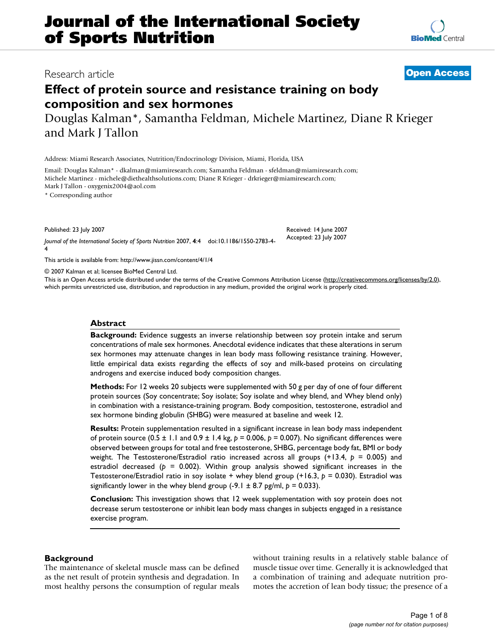# **Effect of protein source and resistance training on body composition and sex hormones**

Douglas Kalman\*, Samantha Feldman, Michele Martinez, Diane R Krieger and Mark J Tallon

Address: Miami Research Associates, Nutrition/Endocrinology Division, Miami, Florida, USA

Email: Douglas Kalman\* - dkalman@miamiresearch.com; Samantha Feldman - sfeldman@miamiresearch.com; Michele Martinez - michele@diethealthsolutions.com; Diane R Krieger - drkrieger@miamiresearch.com; Mark J Tallon - oxygenix2004@aol.com

\* Corresponding author

Published: 23 July 2007

*Journal of the International Society of Sports Nutrition* 2007, **4**:4 doi:10.1186/1550-2783-4- 4

[This article is available from: http://www.jissn.com/content/4/1/4](http://www.jissn.com/content/4/1/4)

© 2007 Kalman et al; licensee BioMed Central Ltd.

This is an Open Access article distributed under the terms of the Creative Commons Attribution License [\(http://creativecommons.org/licenses/by/2.0\)](http://creativecommons.org/licenses/by/2.0), which permits unrestricted use, distribution, and reproduction in any medium, provided the original work is properly cited.

#### **Abstract**

**Background:** Evidence suggests an inverse relationship between soy protein intake and serum concentrations of male sex hormones. Anecdotal evidence indicates that these alterations in serum sex hormones may attenuate changes in lean body mass following resistance training. However, little empirical data exists regarding the effects of soy and milk-based proteins on circulating androgens and exercise induced body composition changes.

**Methods:** For 12 weeks 20 subjects were supplemented with 50 g per day of one of four different protein sources (Soy concentrate; Soy isolate; Soy isolate and whey blend, and Whey blend only) in combination with a resistance-training program. Body composition, testosterone, estradiol and sex hormone binding globulin (SHBG) were measured at baseline and week 12.

**Results:** Protein supplementation resulted in a significant increase in lean body mass independent of protein source (0.5 ± 1.1 and 0.9 ± 1.4 kg, *p* = 0.006, *p* = 0.007). No significant differences were observed between groups for total and free testosterone, SHBG, percentage body fat, BMI or body weight. The Testosterone/Estradiol ratio increased across all groups (+13.4, *p* = 0.005) and estradiol decreased ( $p = 0.002$ ). Within group analysis showed significant increases in the Testosterone/Estradiol ratio in soy isolate + whey blend group (+16.3, *p* = 0.030). Estradiol was significantly lower in the whey blend group  $(-9.1 \pm 8.7 \text{ pg/ml}, p = 0.033)$ .

**Conclusion:** This investigation shows that 12 week supplementation with soy protein does not decrease serum testosterone or inhibit lean body mass changes in subjects engaged in a resistance exercise program.

### **Background**

The maintenance of skeletal muscle mass can be defined as the net result of protein synthesis and degradation. In most healthy persons the consumption of regular meals without training results in a relatively stable balance of muscle tissue over time. Generally it is acknowledged that a combination of training and adequate nutrition promotes the accretion of lean body tissue; the presence of a



# Research article **[Open Access](http://www.biomedcentral.com/info/about/charter/)**

Received: 14 June 2007 Accepted: 23 July 2007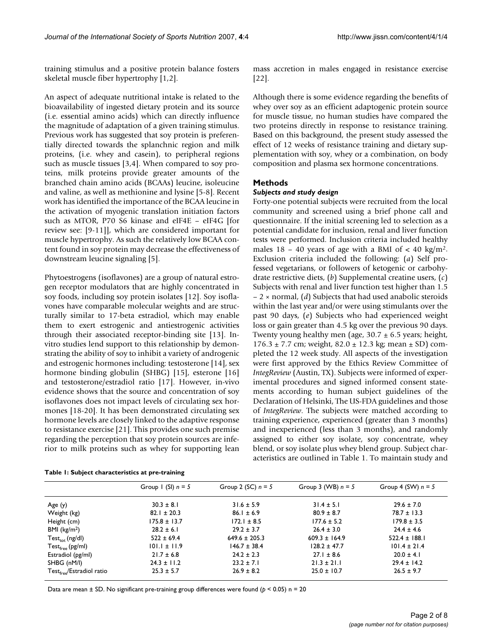training stimulus and a positive protein balance fosters skeletal muscle fiber hypertrophy [1,2].

An aspect of adequate nutritional intake is related to the bioavailability of ingested dietary protein and its source (i.e. essential amino acids) which can directly influence the magnitude of adaptation of a given training stimulus. Previous work has suggested that soy protein is preferentially directed towards the splanchnic region and milk proteins, (i.e. whey and casein), to peripheral regions such as muscle tissues [3,4]. When compared to soy proteins, milk proteins provide greater amounts of the branched chain amino acids (BCAAs) leucine, isoleucine and valine, as well as methionine and lysine [5-8]. Recent work has identified the importance of the BCAA leucine in the activation of myogenic translation initiation factors such as MTOR, P70 S6 kinase and eIF4E – eIF4G [for review see: [9-11]], which are considered important for muscle hypertrophy. As such the relatively low BCAA content found in soy protein may decrease the effectiveness of downstream leucine signaling [5].

Phytoestrogens (isoflavones) are a group of natural estrogen receptor modulators that are highly concentrated in soy foods, including soy protein isolates [12]. Soy isoflavones have comparable molecular weights and are structurally similar to 17-beta estradiol, which may enable them to exert estrogenic and antiestrogenic activities through their associated receptor-binding site [13]. Invitro studies lend support to this relationship by demonstrating the ability of soy to inhibit a variety of androgenic and estrogenic hormones including: testosterone [14], sex hormone binding globulin (SHBG) [15], esterone [16] and testosterone/estradiol ratio [17]. However, in-vivo evidence shows that the source and concentration of soy isoflavones does not impact levels of circulating sex hormones [18-20]. It has been demonstrated circulating sex hormone levels are closely linked to the adaptive response to resistance exercise [21]. This provides one such premise regarding the perception that soy protein sources are inferior to milk proteins such as whey for supporting lean

|          |  |  | mass accretion in males engaged in resistance exercise |  |
|----------|--|--|--------------------------------------------------------|--|
| $[22]$ . |  |  |                                                        |  |

Although there is some evidence regarding the benefits of whey over soy as an efficient adaptogenic protein source for muscle tissue, no human studies have compared the two proteins directly in response to resistance training. Based on this background, the present study assessed the effect of 12 weeks of resistance training and dietary supplementation with soy, whey or a combination, on body composition and plasma sex hormone concentrations.

# **Methods**

### *Subjects and study design*

Forty-one potential subjects were recruited from the local community and screened using a brief phone call and questionnaire. If the initial screening led to selection as a potential candidate for inclusion, renal and liver function tests were performed. Inclusion criteria included healthy males  $18 - 40$  years of age with a BMI of  $\lt 40$  kg/m<sup>2</sup>. Exclusion criteria included the following: (*a*) Self professed vegetarians, or followers of ketogenic or carbohydrate restrictive diets, (*b*) Supplemental creatine users, (*c*) Subjects with renal and liver function test higher than 1.5 – 2 × normal, (*d*) Subjects that had used anabolic steroids within the last year and/or were using stimulants over the past 90 days, (*e*) Subjects who had experienced weight loss or gain greater than 4.5 kg over the previous 90 days. Twenty young healthy men (age,  $30.7 \pm 6.5$  years; height,  $176.3 \pm 7.7$  cm; weight,  $82.0 \pm 12.3$  kg; mean  $\pm$  SD) completed the 12 week study. All aspects of the investigation were first approved by the Ethics Review Committee of *IntegReview* (Austin, TX). Subjects were informed of experimental procedures and signed informed consent statements according to human subject guidelines of the Declaration of Helsinki, The US-FDA guidelines and those of *IntegReview*. The subjects were matched according to training experience, experienced (greater than 3 months) and inexperienced (less than 3 months), and randomly assigned to either soy isolate, soy concentrate, whey blend, or soy isolate plus whey blend group. Subject characteristics are outlined in Table 1. To maintain study and

|                                       | Group I (SI) $n = 5$ | Group 2 (SC) $n = 5$ | Group 3 (WB) $n = 5$ | Group 4 (SW) $n = 5$ |
|---------------------------------------|----------------------|----------------------|----------------------|----------------------|
| Age(y)                                | $30.3 \pm 8.1$       | $31.6 \pm 5.9$       | $31.4 \pm 5.1$       | $29.6 \pm 7.0$       |
| Weight (kg)                           | $82.1 \pm 20.3$      | $86.1 \pm 6.9$       | $80.9 \pm 8.7$       | $78.7 \pm 13.3$      |
| Height (cm)                           | $175.8 \pm 13.7$     | $172.1 \pm 8.5$      | $177.6 \pm 5.2$      | $179.8 \pm 3.5$      |
| BMI $(kg/m2)$                         | $28.2 \pm 6.1$       | $29.2 \pm 3.7$       | $26.4 \pm 3.0$       | $24.4 \pm 4.6$       |
| $Test_{tot}$ (ng/dl)                  | $522 \pm 69.4$       | $649.6 \pm 205.3$    | $609.3 \pm 164.9$    | $522.4 \pm 188.1$    |
| $Test_{free}$ (pg/ml)                 | $101.1 \pm 11.9$     | $146.7 \pm 38.4$     | $128.2 \pm 47.7$     | $101.4 \pm 21.4$     |
| Estradiol (pg/ml)                     | $21.7 \pm 6.8$       | $24.2 \pm 2.3$       | $27.1 \pm 8.6$       | $20.0 \pm 4.1$       |
| SHBG (nM/l)                           | $24.3 \pm 11.2$      | $23.2 \pm 7.1$       | $21.3 \pm 21.1$      | $29.4 \pm 14.2$      |
| Test <sub>free</sub> /Estradiol ratio | $25.3 \pm 5.7$       | $26.9 \pm 8.2$       | $25.0 \pm 10.7$      | $26.5 \pm 9.7$       |
|                                       |                      |                      |                      |                      |

**Table 1: Subject characteristics at pre-training**

Data are mean ± SD. No significant pre-training group differences were found (*p* < 0.05) n = 20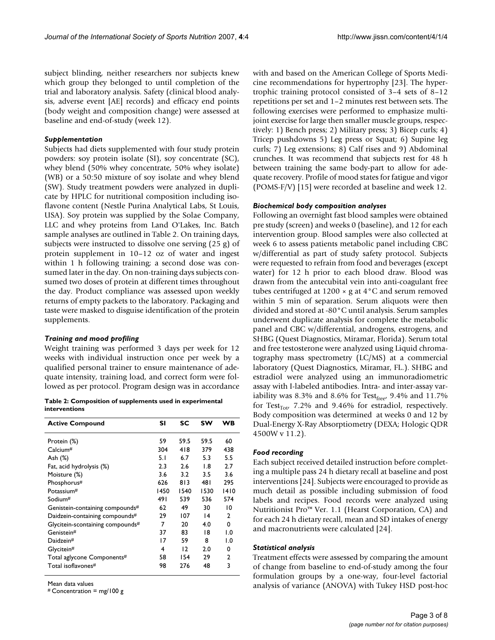subject blinding, neither researchers nor subjects knew which group they belonged to until completion of the trial and laboratory analysis. Safety (clinical blood analysis, adverse event [AE] records) and efficacy end points (body weight and composition change) were assessed at baseline and end-of-study (week 12).

#### *Supplementation*

Subjects had diets supplemented with four study protein powders: soy protein isolate (SI), soy concentrate (SC), whey blend (50% whey concentrate, 50% whey isolate) (WB) or a 50:50 mixture of soy isolate and whey blend (SW). Study treatment powders were analyzed in duplicate by HPLC for nutritional composition including isoflavone content (Nestle Purina Analytical Labs, St Louis, USA). Soy protein was supplied by the Solae Company, LLC and whey proteins from Land O'Lakes, Inc. Batch sample analyses are outlined in Table 2. On training days, subjects were instructed to dissolve one serving (25 g) of protein supplement in 10–12 oz of water and ingest within 1 h following training; a second dose was consumed later in the day. On non-training days subjects consumed two doses of protein at different times throughout the day. Product compliance was assessed upon weekly returns of empty packets to the laboratory. Packaging and taste were masked to disguise identification of the protein supplements.

#### *Training and mood profiling*

Weight training was performed 3 days per week for 12 weeks with individual instruction once per week by a qualified personal trainer to ensure maintenance of adequate intensity, training load, and correct form were followed as per protocol. Program design was in accordance

**Table 2: Composition of supplements used in experimental interventions**

| <b>Active Compound</b>           | SΙ   | SC   | sw              | WВ            |
|----------------------------------|------|------|-----------------|---------------|
| Protein (%)                      | 59   | 59.5 | 59.5            | 60            |
| Calcium#                         | 304  | 418  | 379             | 438           |
| Ash (%)                          | 5. I | 6.7  | 5.3             | 5.5           |
| Fat, acid hydrolysis (%)         | 2.3  | 2.6  | 1.8             | 2.7           |
| Moisture (%)                     | 3.6  | 3.2  | 3.5             | 3.6           |
| Phosphorus#                      | 626  | 813  | 48 I            | 295           |
| Potassium#                       | 1450 | 1540 | 1530            | 1410          |
| Sodium <sup>#</sup>              | 491  | 539  | 536             | 574           |
| Genistein-containing compounds#  | 62   | 49   | 30              | 10            |
| Daidzein-containing compounds#   | 29   | 107  | $\overline{14}$ | 2             |
| Glycitein-scontaining compounds# | 7    | 20   | 4.0             | 0             |
| Genistein#                       | 37   | 83   | 18              | $\mathsf{L}0$ |
| Daidzein#                        | 17   | 59   | 8               | $\mathsf{L}0$ |
| Glycitein#                       | 4    | 12   | 2.0             | 0             |
| Total aglycone Components#       | 58   | 154  | 29              | 2             |
| Total isoflavones#               | 98   | 276  | 48              | 3             |
|                                  |      |      |                 |               |

Mean data values

 $#$  Concentration = mg/100 g

with and based on the American College of Sports Medicine recommendations for hypertrophy [23]. The hypertrophic training protocol consisted of 3–4 sets of 8–12 repetitions per set and 1–2 minutes rest between sets. The following exercises were performed to emphasize multijoint exercise for large then smaller muscle groups, respectively: 1) Bench press; 2) Military press; 3) Bicep curls; 4) Tricep pushdowns 5) Leg press or Squat; 6) Supine leg curls; 7) Leg extensions; 8) Calf rises and 9) Abdominal crunches. It was recommend that subjects rest for 48 h between training the same body-part to allow for adequate recovery. Profile of mood states for fatigue and vigor (POMS-F/V) [15] were recorded at baseline and week 12.

#### *Biochemical body composition analyses*

Following an overnight fast blood samples were obtained pre study (screen) and weeks 0 (baseline), and 12 for each intervention group. Blood samples were also collected at week 6 to assess patients metabolic panel including CBC w/differential as part of study safety protocol. Subjects were requested to refrain from food and beverages (except water) for 12 h prior to each blood draw. Blood was drawn from the antecubital vein into anti-coagulant free tubes centrifuged at  $1200 \times g$  at  $4^{\circ}$ C and serum removed within 5 min of separation. Serum aliquots were then divided and stored at -80°C until analysis. Serum samples underwent duplicate analysis for complete the metabolic panel and CBC w/differential, androgens, estrogens, and SHBG (Quest Diagnostics, Miramar, Florida). Serum total and free testosterone were analyzed using Liquid chromatography mass spectrometry (LC/MS) at a commercial laboratory (Quest Diagnostics, Miramar, FL.). SHBG and estradiol were analyzed using an immunoradiometric assay with I-labeled antibodies. Intra- and inter-assay variability was 8.3% and 8.6% for Test $_{\text{free}}$ , 9.4% and 11.7% for Test<sub>Tot</sub>, 7.2% and 9.46% for estradiol, respectively. Body composition was determined at weeks 0 and 12 by Dual-Energy X-Ray Absorptiometry (DEXA; Hologic QDR 4500W v 11.2).

### *Food recording*

Each subject received detailed instruction before completing a multiple pass 24 h dietary recall at baseline and post interventions [24]. Subjects were encouraged to provide as much detail as possible including submission of food labels and recipes. Food records were analyzed using Nutritionist Pro™ Ver. 1.1 (Hearst Corporation, CA) and for each 24 h dietary recall, mean and SD intakes of energy and macronutrients were calculated [24].

#### *Statistical analysis*

Treatment effects were assessed by comparing the amount of change from baseline to end-of-study among the four formulation groups by a one-way, four-level factorial analysis of variance (ANOVA) with Tukey HSD post-hoc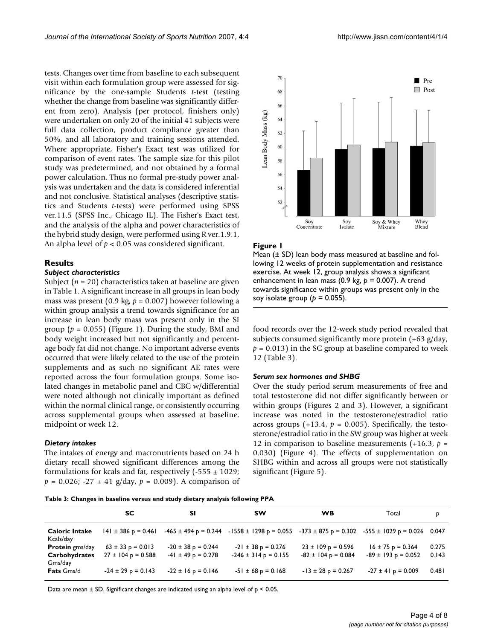tests. Changes over time from baseline to each subsequent visit within each formulation group were assessed for significance by the one-sample Students *t*-test (testing whether the change from baseline was significantly different from zero). Analysis (per protocol, finishers only) were undertaken on only 20 of the initial 41 subjects were full data collection, product compliance greater than 50%, and all laboratory and training sessions attended. Where appropriate, Fisher's Exact test was utilized for comparison of event rates. The sample size for this pilot study was predetermined, and not obtained by a formal power calculation. Thus no formal pre-study power analysis was undertaken and the data is considered inferential and not conclusive. Statistical analyses (descriptive statistics and Students *t*-tests) were performed using SPSS ver.11.5 (SPSS Inc., Chicago IL). The Fisher's Exact test, and the analysis of the alpha and power characteristics of the hybrid study design, were performed using R ver.1.9.1. An alpha level of *p* < 0.05 was considered significant.

### **Results**

#### *Subject characteristics*

Subject (*n* = 20) characteristics taken at baseline are given in Table 1. A significant increase in all groups in lean body mass was present (0.9 kg,  $p = 0.007$ ) however following a within group analysis a trend towards significance for an increase in lean body mass was present only in the SI group  $(p = 0.055)$  (Figure 1). During the study, BMI and body weight increased but not significantly and percentage body fat did not change. No important adverse events occurred that were likely related to the use of the protein supplements and as such no significant AE rates were reported across the four formulation groups. Some isolated changes in metabolic panel and CBC w/differential were noted although not clinically important as defined within the normal clinical range, or consistently occurring across supplemental groups when assessed at baseline, midpoint or week 12.

#### *Dietary intakes*

The intakes of energy and macronutrients based on 24 h dietary recall showed significant differences among the formulations for kcals and fat, respectively  $(-555 \pm 1029)$ ;  $p = 0.026$ ; -27  $\pm$  41 g/day,  $p = 0.009$ ). A comparison of



#### Figure 1

Mean ( $\pm$  SD) lean body mass measured at baseline and following 12 weeks of protein supplementation and resistance exercise. At week 12, group analysis shows a significant enhancement in lean mass (0.9 kg, *p* = 0.007). A trend towards significance within groups was present only in the soy isolate group (*p* = 0.055).

food records over the 12-week study period revealed that subjects consumed significantly more protein (+63 g/day,  $p = 0.013$ ) in the SC group at baseline compared to week 12 (Table 3).

#### *Serum sex hormones and SHBG*

Over the study period serum measurements of free and total testosterone did not differ significantly between or within groups (Figures 2 and 3). However, a significant increase was noted in the testosterone/estradiol ratio across groups  $(+13.4, p = 0.005)$ . Specifically, the testosterone/estradiol ratio in the SW group was higher at week 12 in comparison to baseline measurements (+16.3, *p* = 0.030) (Figure 4). The effects of supplementation on SHBG within and across all groups were not statistically significant (Figure 5).

**Table 3: Changes in baseline versus end study dietary analysis following PPA**

|                                    | SC.                     | SΙ                     | <b>SW</b>                                                                                              | <b>WB</b>               | Total                   | P     |
|------------------------------------|-------------------------|------------------------|--------------------------------------------------------------------------------------------------------|-------------------------|-------------------------|-------|
| <b>Caloric Intake</b><br>Kcals/day | $141 \pm 386$ p = 0.461 |                        | $-465 \pm 494$ p = 0.244 $-1558 \pm 1298$ p = 0.055 $-373 \pm 875$ p = 0.302 $-555 \pm 1029$ p = 0.026 |                         |                         | 0.047 |
| <b>Protein</b> gms/day             | $63 \pm 33$ p = 0.013   | $-20 \pm 38$ p = 0.244 | $-21 \pm 38$ p = 0.276                                                                                 | $23 \pm 109$ p = 0.596  | $16 \pm 75$ p = 0.364   | 0.275 |
| <b>Carbohydrates</b><br>Gms/day    | $27 \pm 104$ p = 0.588  | $-41 \pm 49$ p = 0.278 | $-246 \pm 314$ p = 0.155                                                                               | $-82 \pm 104$ p = 0.084 | $-89 \pm 193$ p = 0.052 | 0.143 |
| <b>Fats Gms/d</b>                  | $-24 \pm 29$ p = 0.143  | $-22 \pm 16$ p = 0.146 | $-51 \pm 68$ p = 0.168                                                                                 | $-13 \pm 28$ p = 0.267  | $-27 \pm 41$ p = 0.009  | 0.481 |

Data are mean  $\pm$  SD. Significant changes are indicated using an alpha level of  $p < 0.05$ .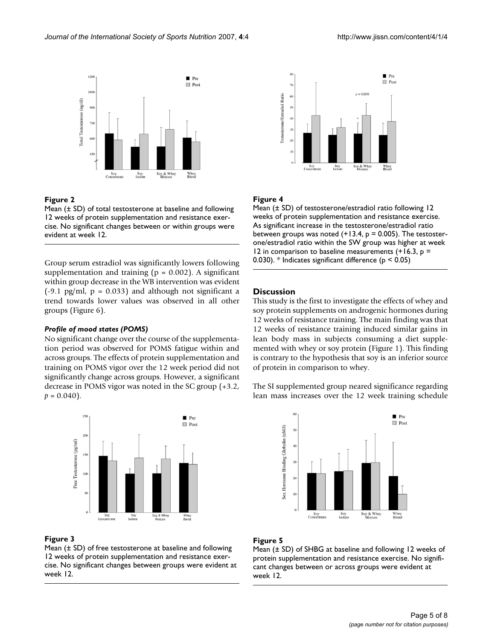

### Figure 2

Mean  $(± SD)$  of total testosterone at baseline and following 12 weeks of protein supplementation and resistance exercise. No significant changes between or within groups were evident at week 12.

Group serum estradiol was significantly lowers following supplementation and training ( $p = 0.002$ ). A significant within group decrease in the WB intervention was evident  $(-9.1 \text{ pg/ml}, p = 0.033)$  and although not significant a trend towards lower values was observed in all other groups (Figure 6).

### *Profile of mood states (POMS)*

No significant change over the course of the supplementation period was observed for POMS fatigue within and across groups. The effects of protein supplementation and training on POMS vigor over the 12 week period did not significantly change across groups. However, a significant decrease in POMS vigor was noted in the SC group (+3.2,  $p = 0.040$ .



# Figure 3

Mean (± SD) of free testosterone at baseline and following 12 weeks of protein supplementation and resistance exercise. No significant changes between groups were evident at week 12.



# Figure 4

Mean (± SD) of testosterone/estradiol ratio following 12 weeks of protein supplementation and resistance exercise. As significant increase in the testosterone/estradiol ratio between groups was noted  $(+13.4, p = 0.005)$ . The testosterone/estradiol ratio within the SW group was higher at week 12 in comparison to baseline measurements  $(+16.3, p =$ 0.030). \* Indicates significant difference (p < 0.05)

# **Discussion**

This study is the first to investigate the effects of whey and soy protein supplements on androgenic hormones during 12 weeks of resistance training. The main finding was that 12 weeks of resistance training induced similar gains in lean body mass in subjects consuming a diet supplemented with whey or soy protein (Figure 1). This finding is contrary to the hypothesis that soy is an inferior source of protein in comparison to whey.

The SI supplemented group neared significance regarding lean mass increases over the 12 week training schedule



# Figure 5

Mean (± SD) of SHBG at baseline and following 12 weeks of protein supplementation and resistance exercise. No significant changes between or across groups were evident at week 12.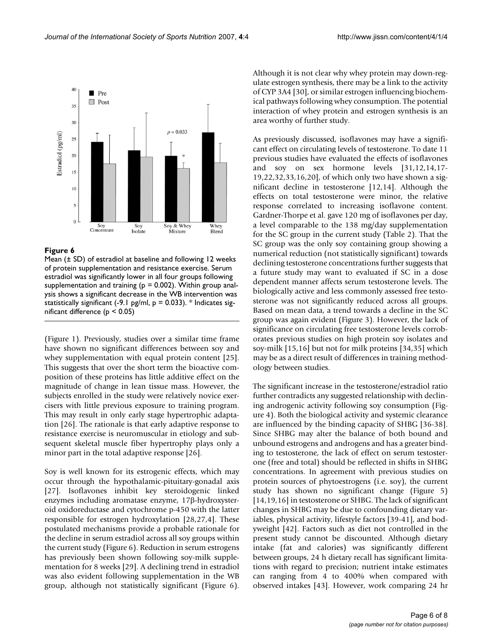

### Figure 6

Mean (± SD) of estradiol at baseline and following 12 weeks of protein supplementation and resistance exercise. Serum estradiol was significantly lower in all four groups following supplementation and training ( $p = 0.002$ ). Within group analysis shows a significant decrease in the WB intervention was statistically significant (-9.1 pg/ml,  $p = 0.033$ ). \* Indicates significant difference (p < 0.05)

(Figure 1). Previously, studies over a similar time frame have shown no significant differences between soy and whey supplementation with equal protein content [25]. This suggests that over the short term the bioactive composition of these proteins has little additive effect on the magnitude of change in lean tissue mass. However, the subjects enrolled in the study were relatively novice exercisers with little previous exposure to training program. This may result in only early stage hypertrophic adaptation [26]. The rationale is that early adaptive response to resistance exercise is neuromuscular in etiology and subsequent skeletal muscle fiber hypertrophy plays only a minor part in the total adaptive response [26].

Soy is well known for its estrogenic effects, which may occur through the hypothalamic-pituitary-gonadal axis [27]. Isoflavones inhibit key steroidogenic linked enzymes including aromatase enzyme, 17β-hydroxysteroid oxidoreductase and cytochrome p-450 with the latter responsible for estrogen hydroxylation [28,27,4]. These postulated mechanisms provide a probable rationale for the decline in serum estradiol across all soy groups within the current study (Figure 6). Reduction in serum estrogens has previously been shown following soy-milk supplementation for 8 weeks [29]. A declining trend in estradiol was also evident following supplementation in the WB group, although not statistically significant (Figure 6). Although it is not clear why whey protein may down-regulate estrogen synthesis, there may be a link to the activity of CYP 3A4 [30], or similar estrogen influencing biochemical pathways following whey consumption. The potential interaction of whey protein and estrogen synthesis is an area worthy of further study.

As previously discussed, isoflavones may have a significant effect on circulating levels of testosterone. To date 11 previous studies have evaluated the effects of isoflavones and soy on sex hormone levels [31,12,14,17- 19,22,32,33,16,20], of which only two have shown a significant decline in testosterone [12,14]. Although the effects on total testosterone were minor, the relative response correlated to increasing isoflavone content. Gardner-Thorpe et al. gave 120 mg of isoflavones per day, a level comparable to the 138 mg/day supplementation for the SC group in the current study (Table 2). That the SC group was the only soy containing group showing a numerical reduction (not statistically significant) towards declining testosterone concentrations further suggests that a future study may want to evaluated if SC in a dose dependent manner affects serum testosterone levels. The biologically active and less commonly assessed free testosterone was not significantly reduced across all groups. Based on mean data, a trend towards a decline in the SC group was again evident (Figure 3). However, the lack of significance on circulating free testosterone levels corroborates previous studies on high protein soy isolates and soy-milk [15,16] but not for milk proteins [34,35] which may be as a direct result of differences in training methodology between studies.

The significant increase in the testosterone/estradiol ratio further contradicts any suggested relationship with declining androgenic activity following soy consumption (Figure 4). Both the biological activity and systemic clearance are influenced by the binding capacity of SHBG [36-38]. Since SHBG may alter the balance of both bound and unbound estrogens and androgens and has a greater binding to testosterone, the lack of effect on serum testosterone (free and total) should be reflected in shifts in SHBG concentrations. In agreement with previous studies on protein sources of phytoestrogens (i.e. soy), the current study has shown no significant change (Figure 5) [14,19,16] in testosterone or SHBG. The lack of significant changes in SHBG may be due to confounding dietary variables, physical activity, lifestyle factors [39-41], and bodyweight [42]. Factors such as diet not controlled in the present study cannot be discounted. Although dietary intake (fat and calories) was significantly different between groups, 24 h dietary recall has significant limitations with regard to precision; nutrient intake estimates can ranging from 4 to 400% when compared with observed intakes [43]. However, work comparing 24 hr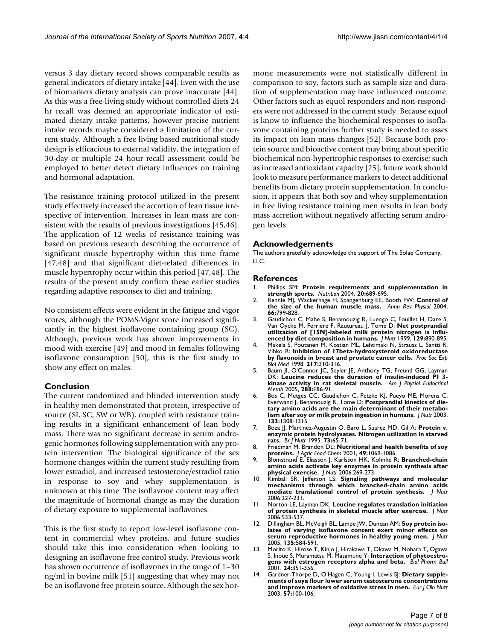versus 3 day dietary record shows comparable results as general indicators of dietary intake [44]. Even with the use of biomarkers dietary analysis can prove inaccurate [44]. As this was a free-living study without controlled diets 24 hr recall was deemed an appropriate indicator of estimated dietary intake patterns, however precise nutrient intake records maybe considered a limitation of the current study. Although a free living based nutritional study design is efficacious to external validity, the integration of 30-day or multiple 24 hour recall assessment could be employed to better detect dietary influences on training and hormonal adaptation.

The resistance training protocol utilized in the present study effectively increased the accretion of lean tissue irrespective of intervention. Increases in lean mass are consistent with the results of previous investigations [45,46]. The application of 12 weeks of resistance training was based on previous research describing the occurrence of significant muscle hypertrophy within this time frame [47,48] and that significant diet-related differences in muscle hypertrophy occur within this period [47,48]. The results of the present study confirm these earlier studies regarding adaptive responses to diet and training.

No consistent effects were evident in the fatigue and vigor scores, although the POMS-Vigor score increased significantly in the highest isoflavone containing group (SC). Although, previous work has shown improvements in mood with exercise [49] and mood in females following isoflavone consumption [50], this is the first study to show any effect on males.

### **Conclusion**

The current randomized and blinded intervention study in healthy men demonstrated that protein, irrespective of source (SI, SC, SW or WB), coupled with resistance training results in a significant enhancement of lean body mass. There was no significant decrease in serum androgenic hormones following supplementation with any protein intervention. The biological significance of the sex hormone changes within the current study resulting from lower estradiol, and increased testosterone/estradiol ratio in response to soy and whey supplementation is unknown at this time. The isoflavone content may affect the magnitude of hormonal change as may the duration of dietary exposure to supplemental isoflavones.

This is the first study to report low-level isoflavone content in commercial whey proteins, and future studies should take this into consideration when looking to designing an isoflavone free control study. Previous work has shown occurrence of isoflavones in the range of 1–30 ng/ml in bovine milk [51] suggesting that whey may not be an isoflavone free protein source. Although the sex hormone measurements were not statistically different in comparison to soy, factors such as sample size and duration of supplementation may have influenced outcome. Other factors such as equol responders and non-responders were not addressed in the current study. Because equol is know to influence the biochemical responses to isoflavone containing proteins further study is needed to asses its impact on lean mass changes [52]. Because both protein source and bioactive content may bring about specific biochemical non-hypertrophic responses to exercise; such as increased antioxidant capacity [25], future work should look to measure performance markers to detect additional benefits from dietary protein supplementation. In conclusion, it appears that both soy and whey supplementation in free living resistance training men results in lean body mass accretion without negatively affecting serum androgen levels.

### **Acknowledgements**

The authors gratefully acknowledge the support of The Solae Company, LLC.

#### **References**

- 1. Phillips SM: **[Protein requirements and supplementation in](http://www.ncbi.nlm.nih.gov/entrez/query.fcgi?cmd=Retrieve&db=PubMed&dopt=Abstract&list_uids=15212752) [strength sports.](http://www.ncbi.nlm.nih.gov/entrez/query.fcgi?cmd=Retrieve&db=PubMed&dopt=Abstract&list_uids=15212752)** *Nutrition* 2004, **20:**689-695.
- 2. Rennie MJ, Wackerhage H, Spangenburg EE, Booth FW: **[Control of](http://www.ncbi.nlm.nih.gov/entrez/query.fcgi?cmd=Retrieve&db=PubMed&dopt=Abstract&list_uids=14977422) [the size of the human muscle mass.](http://www.ncbi.nlm.nih.gov/entrez/query.fcgi?cmd=Retrieve&db=PubMed&dopt=Abstract&list_uids=14977422)** *Annu Rev Physiol* 2004, **66:**799-828.
- 3. Gaudichon C, Mahe S, Benamouzig R, Luengo C, Fouillet H, Dare S, Van Oycke M, Ferriere F, Rautureau J, Tome D: **[Net postprandial](http://www.ncbi.nlm.nih.gov/entrez/query.fcgi?cmd=Retrieve&db=PubMed&dopt=Abstract&list_uids=10203566) [utilization of \[15N\]-labeled milk protein nitrogen is influ](http://www.ncbi.nlm.nih.gov/entrez/query.fcgi?cmd=Retrieve&db=PubMed&dopt=Abstract&list_uids=10203566)[enced by diet composition in humans.](http://www.ncbi.nlm.nih.gov/entrez/query.fcgi?cmd=Retrieve&db=PubMed&dopt=Abstract&list_uids=10203566)** *J Nutr* 1999, **129:**890-895.
- 4. Makela S, Poutanen M, Kostian ML, Lehtimaki N, Strauss L, Santti R, Vihko R: **[Inhibition of 17beta-hydroxysteroid oxidoreductase](http://www.ncbi.nlm.nih.gov/entrez/query.fcgi?cmd=Retrieve&db=PubMed&dopt=Abstract&list_uids=9492340) [by flavonoids in breast and prostate cancer cells.](http://www.ncbi.nlm.nih.gov/entrez/query.fcgi?cmd=Retrieve&db=PubMed&dopt=Abstract&list_uids=9492340)** *Proc Soc Exp Biol Med* 1998, **217:**310-316.
- 5. Baum JI, O'Connor JC, Seyler JE, Anthony TG, Freund GG, Layman DK: **[Leucine reduces the duration of insulin-induced PI 3](http://www.ncbi.nlm.nih.gov/entrez/query.fcgi?cmd=Retrieve&db=PubMed&dopt=Abstract&list_uids=15339747) [kinase activity in rat skeletal muscle.](http://www.ncbi.nlm.nih.gov/entrez/query.fcgi?cmd=Retrieve&db=PubMed&dopt=Abstract&list_uids=15339747)** *Am J Physiol Endocrinol Metab* 2005, **288:**E86-91.
- 6. Bos C, Metges CC, Gaudichon C, Petzke KJ, Pueyo ME, Morens C, Everwand J, Benamouzig R, Tome D: **[Postprandial kinetics of die](http://www.ncbi.nlm.nih.gov/entrez/query.fcgi?cmd=Retrieve&db=PubMed&dopt=Abstract&list_uids=12730415)[tary amino acids are the main determinant of their metabo](http://www.ncbi.nlm.nih.gov/entrez/query.fcgi?cmd=Retrieve&db=PubMed&dopt=Abstract&list_uids=12730415)[lism after soy or milk protein ingestion in humans.](http://www.ncbi.nlm.nih.gov/entrez/query.fcgi?cmd=Retrieve&db=PubMed&dopt=Abstract&list_uids=12730415)** *J Nutr* 2003, **133:**1308-1315.
- 7. Boza JJ, Martinez-Augustin O, Baro L, Suarez MD, Gil A: **[Protein v.](http://www.ncbi.nlm.nih.gov/entrez/query.fcgi?cmd=Retrieve&db=PubMed&dopt=Abstract&list_uids=7857916) [enzymic protein hydrolysates. Nitrogen utilization in starved](http://www.ncbi.nlm.nih.gov/entrez/query.fcgi?cmd=Retrieve&db=PubMed&dopt=Abstract&list_uids=7857916) [rats.](http://www.ncbi.nlm.nih.gov/entrez/query.fcgi?cmd=Retrieve&db=PubMed&dopt=Abstract&list_uids=7857916)** *Br J Nutr* 1995, **73:**65-71.
- 8. Friedman M, Brandon DL: **[Nutritional and health benefits of soy](http://www.ncbi.nlm.nih.gov/entrez/query.fcgi?cmd=Retrieve&db=PubMed&dopt=Abstract&list_uids=11312815)**
- **[proteins.](http://www.ncbi.nlm.nih.gov/entrez/query.fcgi?cmd=Retrieve&db=PubMed&dopt=Abstract&list_uids=11312815)** *J Agric Food Chem* 2001, **49:**1069-1086. 9. Blomstrand E, Eliasson J, Karlsson HK, Kohnke R: **Branched-chain amino acids activate key enzymes in protein synthesis after physical exercise.** *J Nutr* 2006:269-273.
- 10. Kimball SR, Jefferson LS: **Signaling pathways and molecular mechanisms through which branched-chain amino acids mediate translational control of protein synthesis.** *J Nutr* 2006:227-231.
- 11. Norton LE, Layman DK: **Leucine regulates translation initiation of protein synthesis in skeletal muscle after exercise.** *J Nutr* 2006:533-537
- 12. Dillingham BL, McVeigh BL, Lampe JW, Duncan AM: **[Soy protein iso](http://www.ncbi.nlm.nih.gov/entrez/query.fcgi?cmd=Retrieve&db=PubMed&dopt=Abstract&list_uids=15735098)[lates of varying isoflavone content exert minor effects on](http://www.ncbi.nlm.nih.gov/entrez/query.fcgi?cmd=Retrieve&db=PubMed&dopt=Abstract&list_uids=15735098) [serum reproductive hormones in healthy young men.](http://www.ncbi.nlm.nih.gov/entrez/query.fcgi?cmd=Retrieve&db=PubMed&dopt=Abstract&list_uids=15735098)** *J Nutr* 2005, **135:**584-591.
- 13. Morito K, Hirose T, Kinjo J, Hirakawa T, Okawa M, Nohara T, Ogawa S, Inoue S, Muramatsu M, Masamune Y: **[Interaction of phytoestro](http://www.ncbi.nlm.nih.gov/entrez/query.fcgi?cmd=Retrieve&db=PubMed&dopt=Abstract&list_uids=11305594)[gens with estrogen receptors alpha and beta.](http://www.ncbi.nlm.nih.gov/entrez/query.fcgi?cmd=Retrieve&db=PubMed&dopt=Abstract&list_uids=11305594)** *Biol Pharm Bull* 2001, **24:**351-356.
- Gardner-Thorpe D, O'Hagen C, Young I, Lewis SJ: [Dietary supple](http://www.ncbi.nlm.nih.gov/entrez/query.fcgi?cmd=Retrieve&db=PubMed&dopt=Abstract&list_uids=12548304)**[ments of soya flour lower serum testosterone concentrations](http://www.ncbi.nlm.nih.gov/entrez/query.fcgi?cmd=Retrieve&db=PubMed&dopt=Abstract&list_uids=12548304) [and improve markers of oxidative stress in men.](http://www.ncbi.nlm.nih.gov/entrez/query.fcgi?cmd=Retrieve&db=PubMed&dopt=Abstract&list_uids=12548304)** *Eur J Clin Nutr* 2003, **57:**100-106.